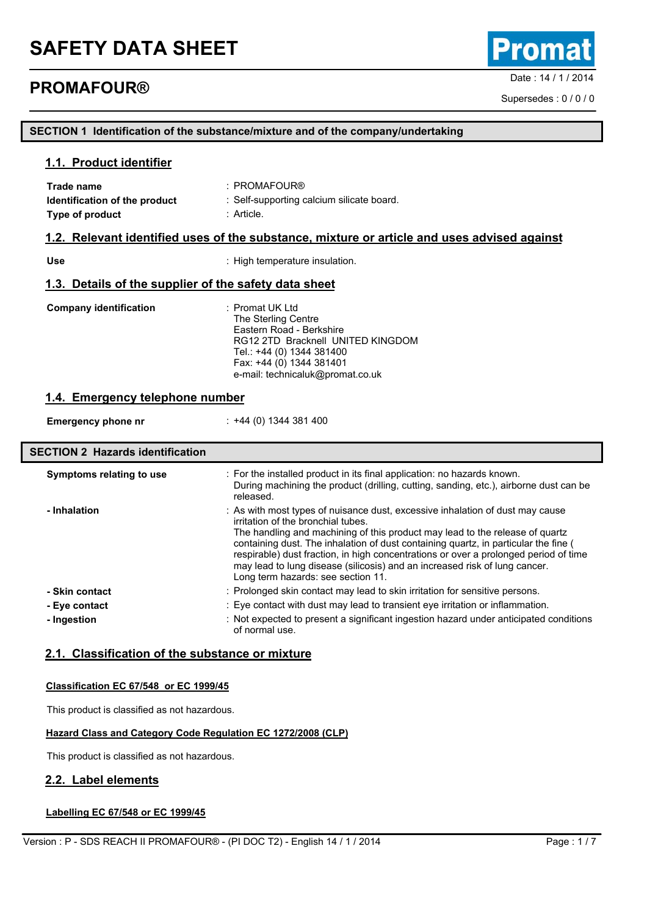## **PROMAFOUR® PROMAFOUR®**

Supersedes : 0 / 0 / 0

### **SECTION 1 Identification of the substance/mixture and of the company/undertaking**

### **1.1. Product identifier**

| Trade name                                            | $:$ PROMAFOUR®                                                                              |  |
|-------------------------------------------------------|---------------------------------------------------------------------------------------------|--|
| Identification of the product                         | : Self-supporting calcium silicate board.                                                   |  |
| Type of product                                       | : Article.                                                                                  |  |
|                                                       | 1.2. Relevant identified uses of the substance, mixture or article and uses advised against |  |
| <b>Use</b>                                            | : High temperature insulation.                                                              |  |
| 1.3. Details of the supplier of the safety data sheet |                                                                                             |  |
| <b>Company identification</b>                         | : Promat UK Ltd                                                                             |  |

The Sterling Centre Eastern Road - Berkshire RG12 2TD Bracknell UNITED KINGDOM Tel.: +44 (0) 1344 381400 Fax: +44 (0) 1344 381401 e-mail: technicaluk@promat.co.uk

### **1.4. Emergency telephone number**

**Emergency phone nr** : +44 (0) 1344 381 400

## **SECTION 2 Hazards identification**

| Symptoms relating to use | : For the installed product in its final application: no hazards known.<br>During machining the product (drilling, cutting, sanding, etc.), airborne dust can be<br>released.                                                                                                                                                                                                                                                                                                                          |
|--------------------------|--------------------------------------------------------------------------------------------------------------------------------------------------------------------------------------------------------------------------------------------------------------------------------------------------------------------------------------------------------------------------------------------------------------------------------------------------------------------------------------------------------|
| - Inhalation             | : As with most types of nuisance dust, excessive inhalation of dust may cause<br>irritation of the bronchial tubes.<br>The handling and machining of this product may lead to the release of quartz<br>containing dust. The inhalation of dust containing quartz, in particular the fine (<br>respirable) dust fraction, in high concentrations or over a prolonged period of time<br>may lead to lung disease (silicosis) and an increased risk of lung cancer.<br>Long term hazards: see section 11. |
| - Skin contact           | : Prolonged skin contact may lead to skin irritation for sensitive persons.                                                                                                                                                                                                                                                                                                                                                                                                                            |
| - Eye contact            | : Eye contact with dust may lead to transient eye irritation or inflammation.                                                                                                                                                                                                                                                                                                                                                                                                                          |
| - Ingestion              | : Not expected to present a significant ingestion hazard under anticipated conditions<br>of normal use.                                                                                                                                                                                                                                                                                                                                                                                                |

### **2.1. Classification of the substance or mixture**

#### **Classification EC 67/548 or EC 1999/45**

This product is classified as not hazardous.

### **Hazard Class and Category Code Regulation EC 1272/2008 (CLP)**

This product is classified as not hazardous.

### **2.2. Label elements**

### **Labelling EC 67/548 or EC 1999/45**

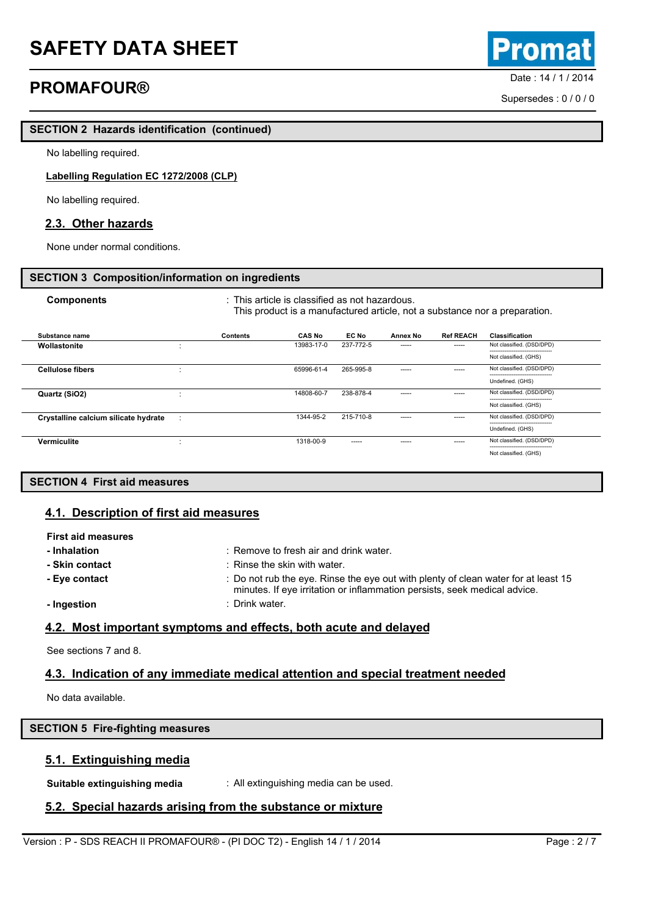# **Date : 14/1/2014 PROMAFOUR® PROMAFOUR®**

oma

Supersedes : 0 / 0 / 0

## **SECTION 2 Hazards identification (continued)**

No labelling required.

### **Labelling Regulation EC 1272/2008 (CLP)**

No labelling required.

### **2.3. Other hazards**

None under normal conditions.

### **SECTION 3 Composition/information on ingredients**

| <b>Components</b>                    | $\therefore$ This article is classified as not hazardous. | This product is a manufactured article, not a substance nor a preparation. |           |          |                  |                           |
|--------------------------------------|-----------------------------------------------------------|----------------------------------------------------------------------------|-----------|----------|------------------|---------------------------|
| Substance name                       | Contents                                                  | <b>CAS No</b>                                                              | EC No     | Annex No | <b>Ref REACH</b> | <b>Classification</b>     |
| Wollastonite                         | $\cdot$<br>$\blacksquare$                                 | 13983-17-0                                                                 | 237-772-5 | -----    | -----            | Not classified. (DSD/DPD) |
|                                      |                                                           |                                                                            |           |          |                  | Not classified. (GHS)     |
| <b>Cellulose fibers</b>              |                                                           | 65996-61-4                                                                 | 265-995-8 | -----    | $- - - - -$      | Not classified. (DSD/DPD) |
|                                      |                                                           |                                                                            |           |          |                  | Undefined. (GHS)          |
| Quartz (SiO2)                        |                                                           | 14808-60-7                                                                 | 238-878-4 | -----    | $- - - - -$      | Not classified. (DSD/DPD) |
|                                      |                                                           |                                                                            |           |          |                  | Not classified. (GHS)     |
| Crystalline calcium silicate hydrate | ٠<br>×                                                    | 1344-95-2                                                                  | 215-710-8 | -----    | $- - - - -$      | Not classified. (DSD/DPD) |
|                                      |                                                           |                                                                            |           |          |                  | Undefined. (GHS)          |
| <b>Vermiculite</b>                   | ٠                                                         | 1318-00-9                                                                  | -----     | ----     | -----            | Not classified. (DSD/DPD) |
|                                      |                                                           |                                                                            |           |          |                  | Not classified. (GHS)     |

### **SECTION 4 First aid measures**

### **4.1. Description of first aid measures**

| <b>First aid measures</b> |                                                                                                                                                                 |
|---------------------------|-----------------------------------------------------------------------------------------------------------------------------------------------------------------|
| - Inhalation              | : Remove to fresh air and drink water.                                                                                                                          |
| - Skin contact            | : Rinse the skin with water.                                                                                                                                    |
| - Eye contact             | : Do not rub the eye. Rinse the eye out with plenty of clean water for at least 15<br>minutes. If eye irritation or inflammation persists, seek medical advice. |
| - Ingestion               | : Drink water.                                                                                                                                                  |
|                           |                                                                                                                                                                 |

### **4.2. Most important symptoms and effects, both acute and delayed**

See sections 7 and 8.

## **4.3. Indication of any immediate medical attention and special treatment needed**

No data available.

## **SECTION 5 Fire-fighting measures**

## **5.1. Extinguishing media**

**Suitable extinguishing media** : All extinguishing media can be used.

## **5.2. Special hazards arising from the substance or mixture**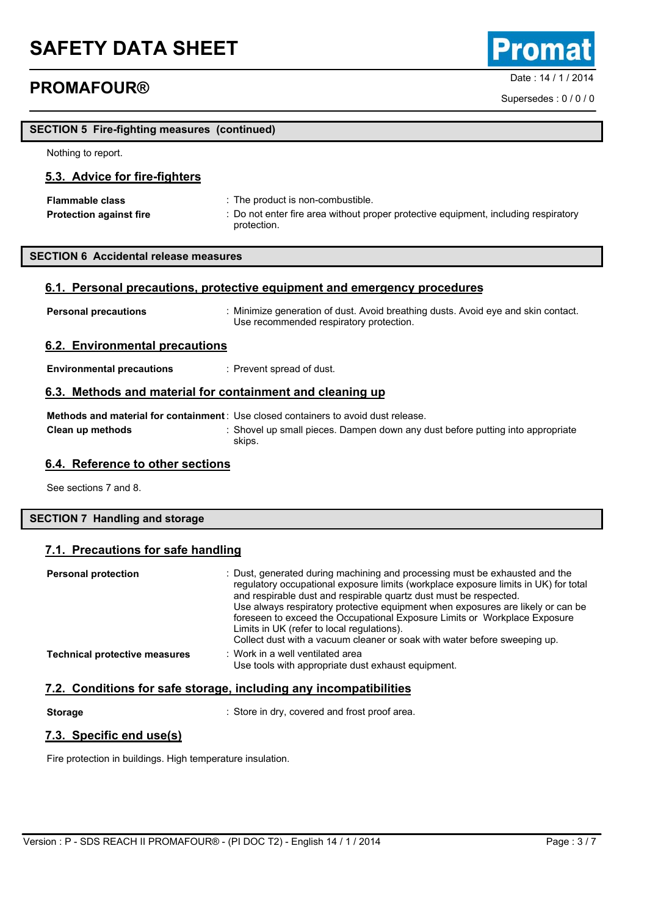**SECTION 5 Fire-fighting measures (continued)**

# **PROMAFOUR® PROMAFOUR®**

Nothing to report.

Supersedes : 0 / 0 / 0

| 5.3. Advice for fire-fighters                                            |                                                                                                                                                                                |  |  |
|--------------------------------------------------------------------------|--------------------------------------------------------------------------------------------------------------------------------------------------------------------------------|--|--|
| <b>Flammable class</b><br><b>Protection against fire</b>                 | : The product is non-combustible.<br>: Do not enter fire area without proper protective equipment, including respiratory<br>protection.                                        |  |  |
| <b>SECTION 6 Accidental release measures</b>                             |                                                                                                                                                                                |  |  |
| 6.1. Personal precautions, protective equipment and emergency procedures |                                                                                                                                                                                |  |  |
| <b>Personal precautions</b>                                              | : Minimize generation of dust. Avoid breathing dusts. Avoid eye and skin contact.<br>Use recommended respiratory protection.                                                   |  |  |
| 6.2. Environmental precautions                                           |                                                                                                                                                                                |  |  |
| <b>Environmental precautions</b>                                         | : Prevent spread of dust.                                                                                                                                                      |  |  |
| 6.3. Methods and material for containment and cleaning up                |                                                                                                                                                                                |  |  |
| Clean up methods                                                         | Methods and material for containment: Use closed containers to avoid dust release.<br>: Shovel up small pieces. Dampen down any dust before putting into appropriate<br>skips. |  |  |

### **6.4. Reference to other sections**

See sections 7 and 8.

### **SECTION 7 Handling and storage**

### **7.1. Precautions for safe handling**

| <b>Personal protection</b>           | : Dust, generated during machining and processing must be exhausted and the<br>regulatory occupational exposure limits (workplace exposure limits in UK) for total<br>and respirable dust and respirable quartz dust must be respected.<br>Use always respiratory protective equipment when exposures are likely or can be<br>foreseen to exceed the Occupational Exposure Limits or Workplace Exposure<br>Limits in UK (refer to local regulations).<br>Collect dust with a vacuum cleaner or soak with water before sweeping up. |
|--------------------------------------|------------------------------------------------------------------------------------------------------------------------------------------------------------------------------------------------------------------------------------------------------------------------------------------------------------------------------------------------------------------------------------------------------------------------------------------------------------------------------------------------------------------------------------|
| <b>Technical protective measures</b> | : Work in a well ventilated area<br>Use tools with appropriate dust exhaust equipment.                                                                                                                                                                                                                                                                                                                                                                                                                                             |

## **7.2. Conditions for safe storage, including any incompatibilities**

**Storage** : Store in dry, covered and frost proof area.

## **7.3. Specific end use(s)**

Fire protection in buildings. High temperature insulation.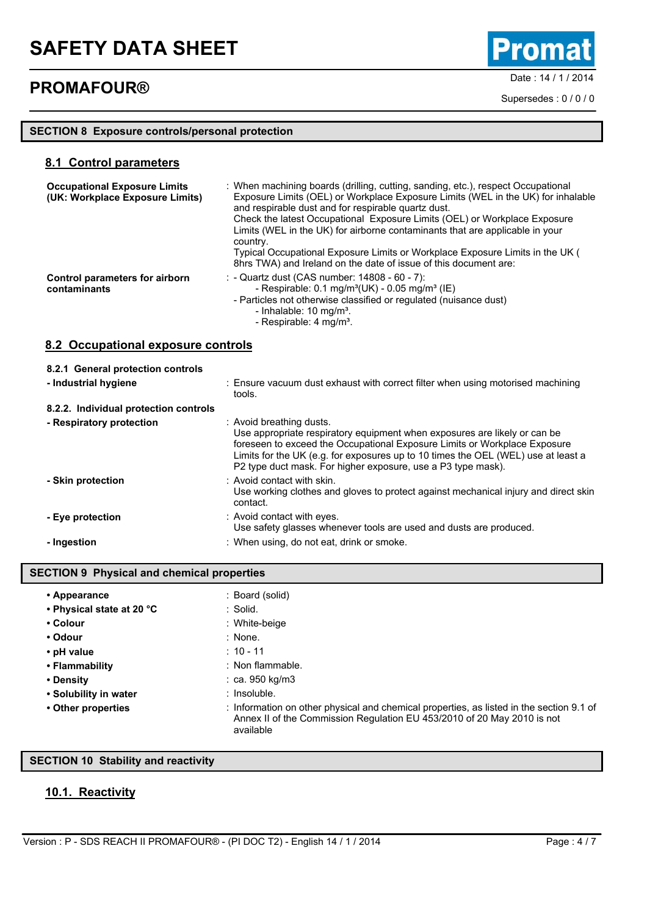# Date : 14 / 1 / 2014 **PROMAFOUR®**

Promat

Supersedes : 0 / 0 / 0

## **SECTION 8 Exposure controls/personal protection**

### **8.1 Control parameters**

| <b>Occupational Exposure Limits</b><br>(UK: Workplace Exposure Limits) | : When machining boards (drilling, cutting, sanding, etc.), respect Occupational<br>Exposure Limits (OEL) or Workplace Exposure Limits (WEL in the UK) for inhalable<br>and respirable dust and for respirable quartz dust.<br>Check the latest Occupational Exposure Limits (OEL) or Workplace Exposure<br>Limits (WEL in the UK) for airborne contaminants that are applicable in your<br>country.<br>Typical Occupational Exposure Limits or Workplace Exposure Limits in the UK (<br>8hrs TWA) and Ireland on the date of issue of this document are: |
|------------------------------------------------------------------------|-----------------------------------------------------------------------------------------------------------------------------------------------------------------------------------------------------------------------------------------------------------------------------------------------------------------------------------------------------------------------------------------------------------------------------------------------------------------------------------------------------------------------------------------------------------|
| Control parameters for airborn<br>contaminants                         | : - Quartz dust (CAS number: $14808 - 60 - 7$ ):<br>- Respirable: $0.1 \text{ mg/m}^3$ (UK) - $0.05 \text{ mg/m}^3$ (IE)<br>- Particles not otherwise classified or regulated (nuisance dust)<br>- Inhalable: $10 \text{ mg/m}^3$ .<br>- Respirable: 4 mg/m <sup>3</sup> .                                                                                                                                                                                                                                                                                |

**8.2 Occupational exposure controls**

| 8.2.1 General protection controls     |                                                                                                                                                                                                                                                                                                                                         |
|---------------------------------------|-----------------------------------------------------------------------------------------------------------------------------------------------------------------------------------------------------------------------------------------------------------------------------------------------------------------------------------------|
| - Industrial hygiene                  | : Ensure vacuum dust exhaust with correct filter when using motorised machining<br>tools.                                                                                                                                                                                                                                               |
| 8.2.2. Individual protection controls |                                                                                                                                                                                                                                                                                                                                         |
| - Respiratory protection              | : Avoid breathing dusts.<br>Use appropriate respiratory equipment when exposures are likely or can be<br>foreseen to exceed the Occupational Exposure Limits or Workplace Exposure<br>Limits for the UK (e.g. for exposures up to 10 times the OEL (WEL) use at least a<br>P2 type duct mask. For higher exposure, use a P3 type mask). |
| - Skin protection                     | : Avoid contact with skin.<br>Use working clothes and gloves to protect against mechanical injury and direct skin<br>contact.                                                                                                                                                                                                           |
| - Eye protection                      | : Avoid contact with eyes.<br>Use safety glasses whenever tools are used and dusts are produced.                                                                                                                                                                                                                                        |
| - Ingestion                           | : When using, do not eat, drink or smoke.                                                                                                                                                                                                                                                                                               |

### **SECTION 9 Physical and chemical properties**

| • Appearance              | : Board (solid)                                                                                                                                                                  |
|---------------------------|----------------------------------------------------------------------------------------------------------------------------------------------------------------------------------|
| • Physical state at 20 °C | : Solid.                                                                                                                                                                         |
| • Colour                  | : White-beige                                                                                                                                                                    |
| • Odour                   | $:$ None.                                                                                                                                                                        |
| • pH value                | $: 10 - 11$                                                                                                                                                                      |
| • Flammability            | : Non flammable.                                                                                                                                                                 |
| • Density                 | $:$ ca. 950 kg/m3                                                                                                                                                                |
| • Solubility in water     | : Insoluble.                                                                                                                                                                     |
| • Other properties        | : Information on other physical and chemical properties, as listed in the section 9.1 of<br>Annex II of the Commission Regulation EU 453/2010 of 20 May 2010 is not<br>available |

### **SECTION 10 Stability and reactivity**

## **10.1. Reactivity**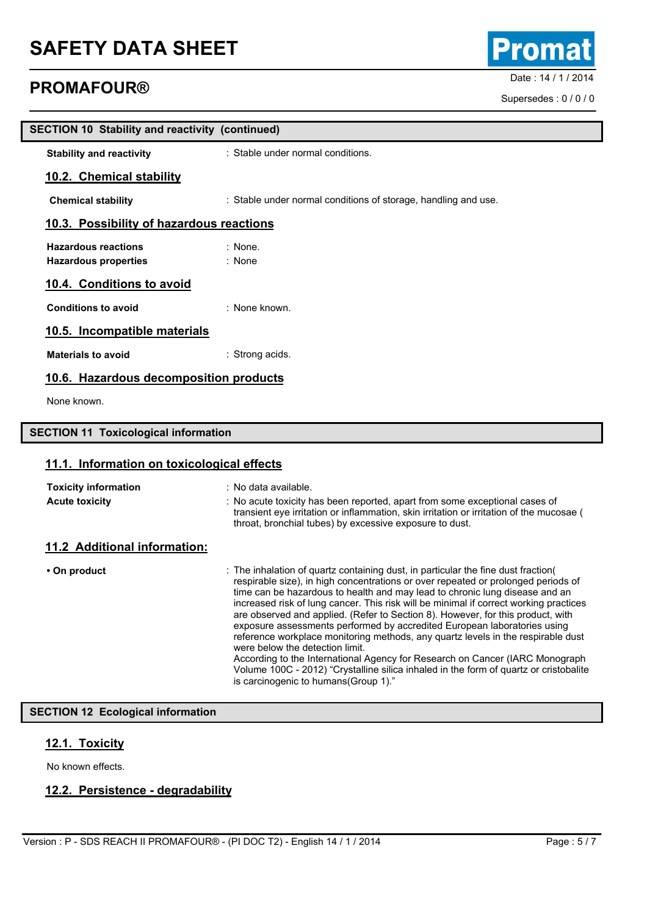# Date : 14 / 1 / 2014 **PROMAFOUR®**

| <b>SECTION 10 Stability and reactivity (continued)</b>    |                                                                                                                                                                                                                                                                                                                                                                                                                                                                                                                                                                                                   |  |
|-----------------------------------------------------------|---------------------------------------------------------------------------------------------------------------------------------------------------------------------------------------------------------------------------------------------------------------------------------------------------------------------------------------------------------------------------------------------------------------------------------------------------------------------------------------------------------------------------------------------------------------------------------------------------|--|
| <b>Stability and reactivity</b>                           | : Stable under normal conditions.                                                                                                                                                                                                                                                                                                                                                                                                                                                                                                                                                                 |  |
| 10.2. Chemical stability                                  |                                                                                                                                                                                                                                                                                                                                                                                                                                                                                                                                                                                                   |  |
| <b>Chemical stability</b>                                 | : Stable under normal conditions of storage, handling and use.                                                                                                                                                                                                                                                                                                                                                                                                                                                                                                                                    |  |
| 10.3. Possibility of hazardous reactions                  |                                                                                                                                                                                                                                                                                                                                                                                                                                                                                                                                                                                                   |  |
| <b>Hazardous reactions</b><br><b>Hazardous properties</b> | : None.<br>: None                                                                                                                                                                                                                                                                                                                                                                                                                                                                                                                                                                                 |  |
| 10.4. Conditions to avoid                                 |                                                                                                                                                                                                                                                                                                                                                                                                                                                                                                                                                                                                   |  |
| <b>Conditions to avoid</b>                                | : None known.                                                                                                                                                                                                                                                                                                                                                                                                                                                                                                                                                                                     |  |
| 10.5. Incompatible materials                              |                                                                                                                                                                                                                                                                                                                                                                                                                                                                                                                                                                                                   |  |
| <b>Materials to avoid</b>                                 | : Strong acids.                                                                                                                                                                                                                                                                                                                                                                                                                                                                                                                                                                                   |  |
| 10.6. Hazardous decomposition products                    |                                                                                                                                                                                                                                                                                                                                                                                                                                                                                                                                                                                                   |  |
| None known.                                               |                                                                                                                                                                                                                                                                                                                                                                                                                                                                                                                                                                                                   |  |
| <b>SECTION 11 Toxicological information</b>               |                                                                                                                                                                                                                                                                                                                                                                                                                                                                                                                                                                                                   |  |
| 11.1. Information on toxicological effects                |                                                                                                                                                                                                                                                                                                                                                                                                                                                                                                                                                                                                   |  |
| <b>Toxicity information</b><br><b>Acute toxicity</b>      | : No data available.<br>: No acute toxicity has been reported, apart from some exceptional cases of<br>transient eye irritation or inflammation, skin irritation or irritation of the mucosae (<br>throat, bronchial tubes) by excessive exposure to dust.                                                                                                                                                                                                                                                                                                                                        |  |
| 11.2 Additional information:                              |                                                                                                                                                                                                                                                                                                                                                                                                                                                                                                                                                                                                   |  |
| • On product                                              | : The inhalation of quartz containing dust, in particular the fine dust fraction(<br>respirable size), in high concentrations or over repeated or prolonged periods of<br>time can be hazardous to health and may lead to chronic lung disease and an<br>increased risk of lung cancer. This risk will be minimal if correct working practices<br>are observed and applied. (Refer to Section 8). However, for this product, with<br>exposure assessments performed by accredited European laboratories using<br>reference workplace monitoring methods, any quartz levels in the respirable dust |  |

were below the detection limit.

is carcinogenic to humans(Group 1)."

According to the International Agency for Research on Cancer (IARC Monograph Volume 100C - 2012) "Crystalline silica inhaled in the form of quartz or cristobalite

## **SECTION 12 Ecological information**

## **12.1. Toxicity**

No known effects.

## **12.2. Persistence - degradability**



Supersedes : 0 / 0 / 0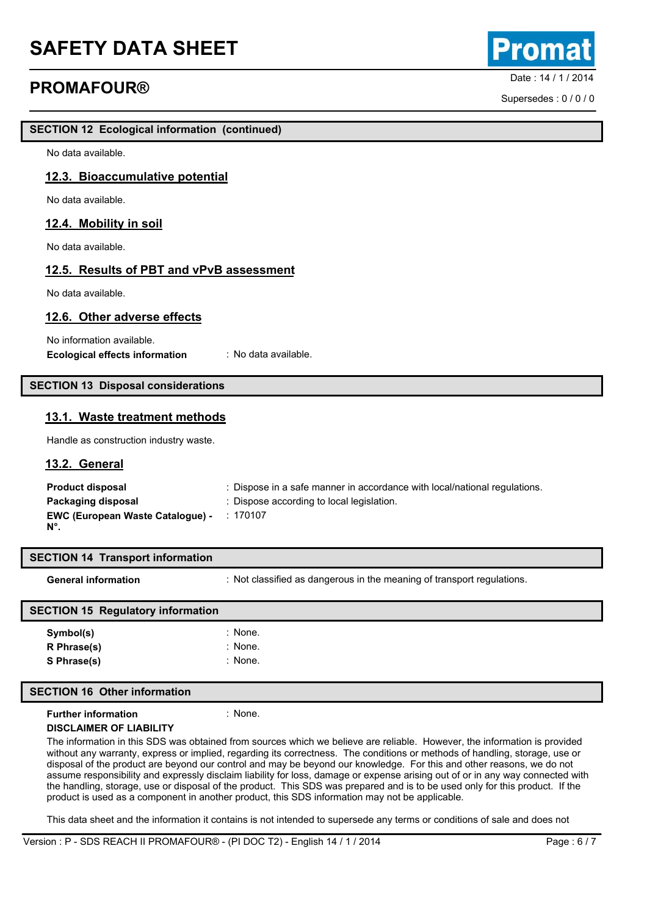## **Date : 14/1/2014 PROMAFOUR® PROMAFOUR®**

**SECTION 12 Ecological information (continued)**

No data available.

### **12.3. Bioaccumulative potential**

No data available.

### **12.4. Mobility in soil**

No data available.

### **12.5. Results of PBT and vPvB assessment**

No data available.

### **12.6. Other adverse effects**

No information available. **Ecological effects information** : No data available.

### **SECTION 13 Disposal considerations**

### **13.1. Waste treatment methods**

Handle as construction industry waste.

### **13.2. General**

| <b>Product disposal</b>                                | : Dispose in a safe manner in accordance with local/national regulations. |
|--------------------------------------------------------|---------------------------------------------------------------------------|
| Packaging disposal                                     | : Dispose according to local legislation.                                 |
| <b>EWC (European Waste Catalogue) -</b><br>$N^{\circ}$ | :170107                                                                   |

| <b>SECTION 14 Transport information</b>  |                                                                        |
|------------------------------------------|------------------------------------------------------------------------|
| <b>General information</b>               | : Not classified as dangerous in the meaning of transport regulations. |
| <b>SECTION 15 Regulatory information</b> |                                                                        |
| Symbol(s)                                | : None.                                                                |
| R Phrase(s)                              | : None.                                                                |
| S Phrase(s)                              | : None.                                                                |

#### **SECTION 16 Other information**

#### **Further information** : None.

#### **DISCLAIMER OF LIABILITY**

The information in this SDS was obtained from sources which we believe are reliable. However, the information is provided without any warranty, express or implied, regarding its correctness. The conditions or methods of handling, storage, use or disposal of the product are beyond our control and may be beyond our knowledge. For this and other reasons, we do not assume responsibility and expressly disclaim liability for loss, damage or expense arising out of or in any way connected with the handling, storage, use or disposal of the product. This SDS was prepared and is to be used only for this product. If the product is used as a component in another product, this SDS information may not be applicable.

This data sheet and the information it contains is not intended to supersede any terms or conditions of sale and does not

Supersedes : 0 / 0 / 0